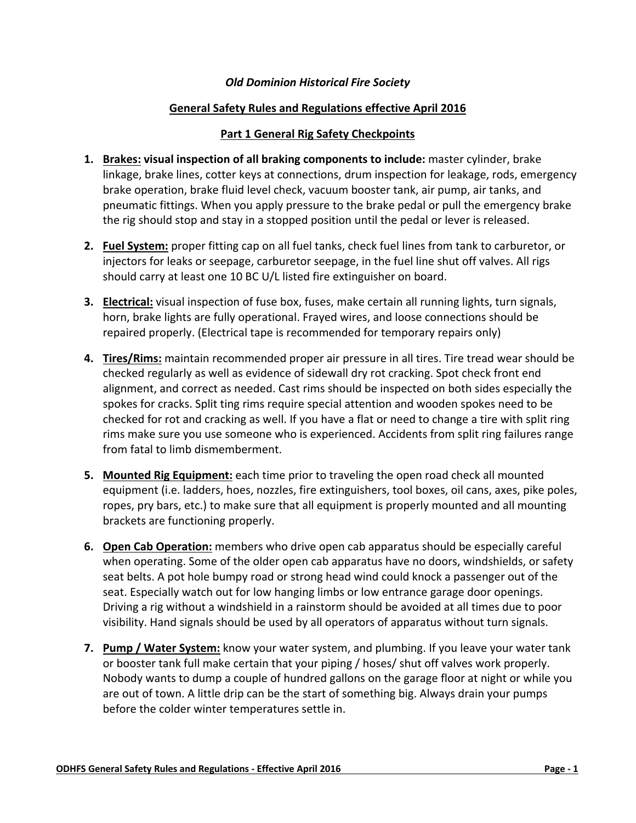### *Old Dominion Historical Fire Society*

### **General Safety Rules and Regulations effective April 2016**

### **Part 1 General Rig Safety Checkpoints**

- **1. Brakes: visual inspection of all braking components to include:** master cylinder, brake linkage, brake lines, cotter keys at connections, drum inspection for leakage, rods, emergency brake operation, brake fluid level check, vacuum booster tank, air pump, air tanks, and pneumatic fittings. When you apply pressure to the brake pedal or pull the emergency brake the rig should stop and stay in a stopped position until the pedal or lever is released.
- **2. Fuel System:** proper fitting cap on all fuel tanks, check fuel lines from tank to carburetor, or injectors for leaks or seepage, carburetor seepage, in the fuel line shut off valves. All rigs should carry at least one 10 BC U/L listed fire extinguisher on board.
- **3. Electrical:** visual inspection of fuse box, fuses, make certain all running lights, turn signals, horn, brake lights are fully operational. Frayed wires, and loose connections should be repaired properly. (Electrical tape is recommended for temporary repairs only)
- **4. Tires/Rims:** maintain recommended proper air pressure in all tires. Tire tread wear should be checked regularly as well as evidence of sidewall dry rot cracking. Spot check front end alignment, and correct as needed. Cast rims should be inspected on both sides especially the spokes for cracks. Split ting rims require special attention and wooden spokes need to be checked for rot and cracking as well. If you have a flat or need to change a tire with split ring rims make sure you use someone who is experienced. Accidents from split ring failures range from fatal to limb dismemberment.
- **5. Mounted Rig Equipment:** each time prior to traveling the open road check all mounted equipment (i.e. ladders, hoes, nozzles, fire extinguishers, tool boxes, oil cans, axes, pike poles, ropes, pry bars, etc.) to make sure that all equipment is properly mounted and all mounting brackets are functioning properly.
- **6. Open Cab Operation:** members who drive open cab apparatus should be especially careful when operating. Some of the older open cab apparatus have no doors, windshields, or safety seat belts. A pot hole bumpy road or strong head wind could knock a passenger out of the seat. Especially watch out for low hanging limbs or low entrance garage door openings. Driving a rig without a windshield in a rainstorm should be avoided at all times due to poor visibility. Hand signals should be used by all operators of apparatus without turn signals.
- **7. Pump / Water System:** know your water system, and plumbing. If you leave your water tank or booster tank full make certain that your piping / hoses/ shut off valves work properly. Nobody wants to dump a couple of hundred gallons on the garage floor at night or while you are out of town. A little drip can be the start of something big. Always drain your pumps before the colder winter temperatures settle in.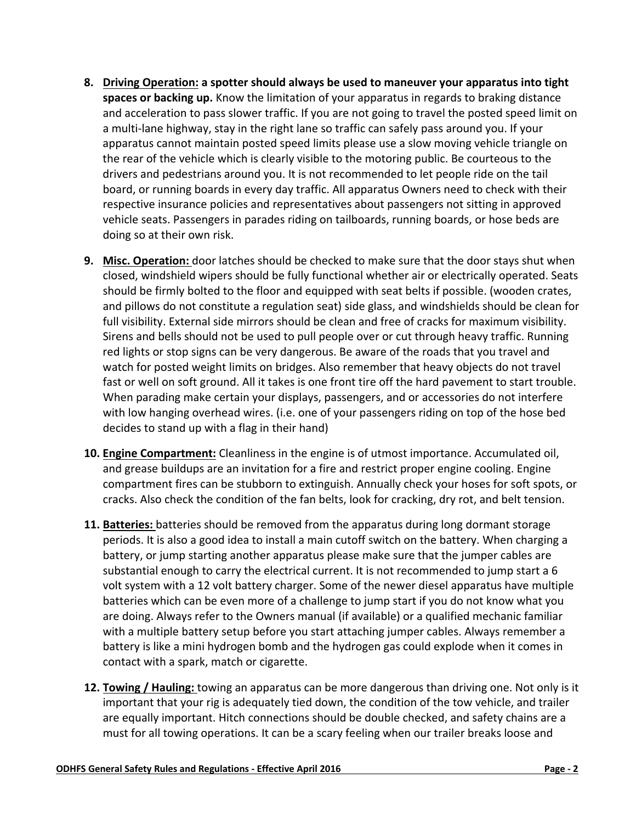- **8. Driving Operation: a spotter should always be used to maneuver your apparatus into tight spaces or backing up.** Know the limitation of your apparatus in regards to braking distance and acceleration to pass slower traffic. If you are not going to travel the posted speed limit on a multi‐lane highway, stay in the right lane so traffic can safely pass around you. If your apparatus cannot maintain posted speed limits please use a slow moving vehicle triangle on the rear of the vehicle which is clearly visible to the motoring public. Be courteous to the drivers and pedestrians around you. It is not recommended to let people ride on the tail board, or running boards in every day traffic. All apparatus Owners need to check with their respective insurance policies and representatives about passengers not sitting in approved vehicle seats. Passengers in parades riding on tailboards, running boards, or hose beds are doing so at their own risk.
- **9. Misc. Operation:** door latches should be checked to make sure that the door stays shut when closed, windshield wipers should be fully functional whether air or electrically operated. Seats should be firmly bolted to the floor and equipped with seat belts if possible. (wooden crates, and pillows do not constitute a regulation seat) side glass, and windshields should be clean for full visibility. External side mirrors should be clean and free of cracks for maximum visibility. Sirens and bells should not be used to pull people over or cut through heavy traffic. Running red lights or stop signs can be very dangerous. Be aware of the roads that you travel and watch for posted weight limits on bridges. Also remember that heavy objects do not travel fast or well on soft ground. All it takes is one front tire off the hard pavement to start trouble. When parading make certain your displays, passengers, and or accessories do not interfere with low hanging overhead wires. (i.e. one of your passengers riding on top of the hose bed decides to stand up with a flag in their hand)
- **10. Engine Compartment:** Cleanliness in the engine is of utmost importance. Accumulated oil, and grease buildups are an invitation for a fire and restrict proper engine cooling. Engine compartment fires can be stubborn to extinguish. Annually check your hoses for soft spots, or cracks. Also check the condition of the fan belts, look for cracking, dry rot, and belt tension.
- **11. Batteries:** batteries should be removed from the apparatus during long dormant storage periods. It is also a good idea to install a main cutoff switch on the battery. When charging a battery, or jump starting another apparatus please make sure that the jumper cables are substantial enough to carry the electrical current. It is not recommended to jump start a 6 volt system with a 12 volt battery charger. Some of the newer diesel apparatus have multiple batteries which can be even more of a challenge to jump start if you do not know what you are doing. Always refer to the Owners manual (if available) or a qualified mechanic familiar with a multiple battery setup before you start attaching jumper cables. Always remember a battery is like a mini hydrogen bomb and the hydrogen gas could explode when it comes in contact with a spark, match or cigarette.
- **12. Towing / Hauling:** towing an apparatus can be more dangerous than driving one. Not only is it important that your rig is adequately tied down, the condition of the tow vehicle, and trailer are equally important. Hitch connections should be double checked, and safety chains are a must for all towing operations. It can be a scary feeling when our trailer breaks loose and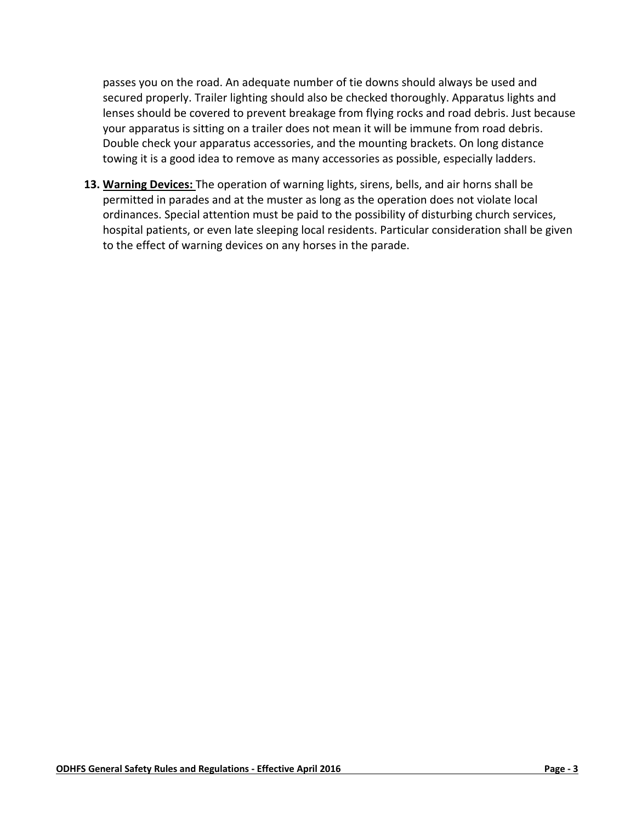passes you on the road. An adequate number of tie downs should always be used and secured properly. Trailer lighting should also be checked thoroughly. Apparatus lights and lenses should be covered to prevent breakage from flying rocks and road debris. Just because your apparatus is sitting on a trailer does not mean it will be immune from road debris. Double check your apparatus accessories, and the mounting brackets. On long distance towing it is a good idea to remove as many accessories as possible, especially ladders.

**13. Warning Devices:** The operation of warning lights, sirens, bells, and air horns shall be permitted in parades and at the muster as long as the operation does not violate local ordinances. Special attention must be paid to the possibility of disturbing church services, hospital patients, or even late sleeping local residents. Particular consideration shall be given to the effect of warning devices on any horses in the parade.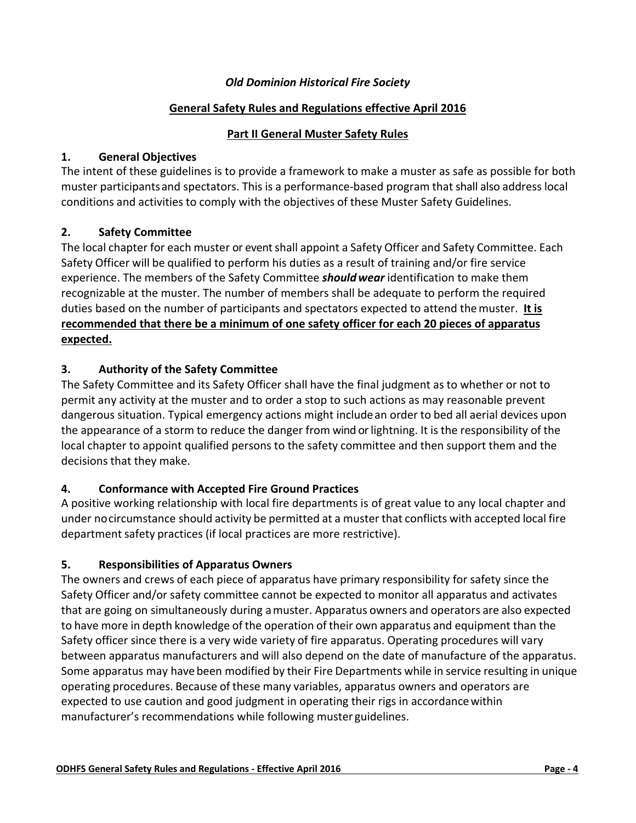### *Old Dominion Historical Fire Society*

### **General Safety Rules and Regulations effective April 2016**

### **Part II General Muster Safety Rules**

### **1. General Objectives**

The intent of these guidelines is to provide a framework to make a muster as safe as possible for both muster participantsand spectators. This is a performance‐based program that shall also address local conditions and activities to comply with the objectives of these Muster Safety Guidelines.

## **2. Safety Committee**

The local chapter for each muster or event shall appoint a Safety Officer and Safety Committee. Each Safety Officer will be qualified to perform his duties as a result of training and/or fire service experience. The members of the Safety Committee *shouldwear* identification to make them recognizable at the muster. The number of members shall be adequate to perform the required duties based on the number of participants and spectators expected to attend themuster. **It is recommended that there be a minimum of one safety officer for each 20 pieces of apparatus expected.**

## **3. Authority of the Safety Committee**

The Safety Committee and its Safety Officer shall have the final judgment as to whether or not to permit any activity at the muster and to order a stop to such actions as may reasonable prevent dangerous situation. Typical emergency actions might includean order to bed all aerial devices upon the appearance of a storm to reduce the danger from wind orlightning. It is the responsibility of the local chapter to appoint qualified persons to the safety committee and then support them and the decisions that they make.

## **4. Conformance with Accepted Fire Ground Practices**

A positive working relationship with local fire departments is of great value to any local chapter and under nocircumstance should activity be permitted at a muster that conflicts with accepted local fire department safety practices (if local practices are more restrictive).

## **5. Responsibilities of Apparatus Owners**

The owners and crews of each piece of apparatus have primary responsibility for safety since the Safety Officer and/or safety committee cannot be expected to monitor all apparatus and activates that are going on simultaneously during amuster. Apparatus owners and operators are also expected to have more in depth knowledge of the operation of their own apparatus and equipment than the Safety officer since there is a very wide variety of fire apparatus. Operating procedures will vary between apparatus manufacturers and will also depend on the date of manufacture of the apparatus. Some apparatus may have been modified by their Fire Departments while in service resulting in unique operating procedures. Because of these many variables, apparatus owners and operators are expected to use caution and good judgment in operating their rigs in accordancewithin manufacturer's recommendations while following muster guidelines.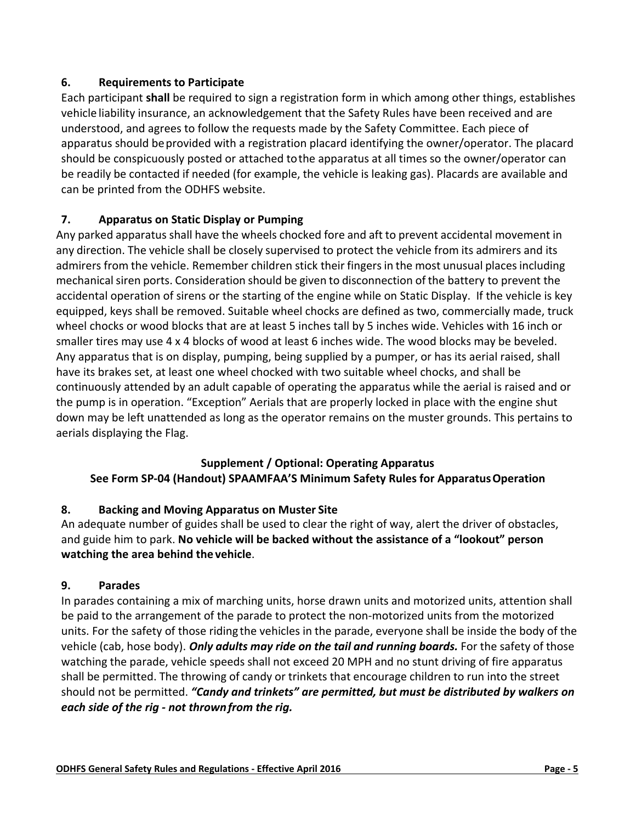# **6. Requirements to Participate**

Each participant **shall** be required to sign a registration form in which among other things, establishes vehicle liability insurance, an acknowledgement that the Safety Rules have been received and are understood, and agrees to follow the requests made by the Safety Committee. Each piece of apparatus should beprovided with a registration placard identifying the owner/operator. The placard should be conspicuously posted or attached tothe apparatus at all times so the owner/operator can be readily be contacted if needed (for example, the vehicle is leaking gas). Placards are available and can be printed from the ODHFS website.

# **7. Apparatus on Static Display or Pumping**

Any parked apparatus shall have the wheels chocked fore and aft to prevent accidental movement in any direction. The vehicle shall be closely supervised to protect the vehicle from its admirers and its admirers from the vehicle. Remember children stick their fingers in the most unusual places including mechanical siren ports. Consideration should be given to disconnection of the battery to prevent the accidental operation of sirens or the starting of the engine while on Static Display. If the vehicle is key equipped, keys shall be removed. Suitable wheel chocks are defined as two, commercially made, truck wheel chocks or wood blocks that are at least 5 inches tall by 5 inches wide. Vehicles with 16 inch or smaller tires may use 4 x 4 blocks of wood at least 6 inches wide. The wood blocks may be beveled. Any apparatus that is on display, pumping, being supplied by a pumper, or has its aerial raised, shall have its brakes set, at least one wheel chocked with two suitable wheel chocks, and shall be continuously attended by an adult capable of operating the apparatus while the aerial is raised and or the pump is in operation. "Exception" Aerials that are properly locked in place with the engine shut down may be left unattended as long as the operator remains on the muster grounds. This pertains to aerials displaying the Flag.

## **Supplement / Optional: Operating Apparatus See Form SP‐04 (Handout) SPAAMFAA'S Minimum Safety Rules for ApparatusOperation**

## **8. Backing and Moving Apparatus on Muster Site**

An adequate number of guides shall be used to clear the right of way, alert the driver of obstacles, and guide him to park. **No vehicle will be backed without the assistance of a "lookout" person watching the area behind the vehicle**.

## **9. Parades**

In parades containing a mix of marching units, horse drawn units and motorized units, attention shall be paid to the arrangement of the parade to protect the non-motorized units from the motorized units. For the safety of those riding the vehicles in the parade, everyone shall be inside the body of the vehicle (cab, hose body). *Only adults may ride on the tail and running boards.* For the safety of those watching the parade, vehicle speeds shall not exceed 20 MPH and no stunt driving of fire apparatus shall be permitted. The throwing of candy or trinkets that encourage children to run into the street should not be permitted. *"Candy and trinkets" are permitted, but must be distributed by walkers on each side of the rig ‐ not thrownfrom the rig.*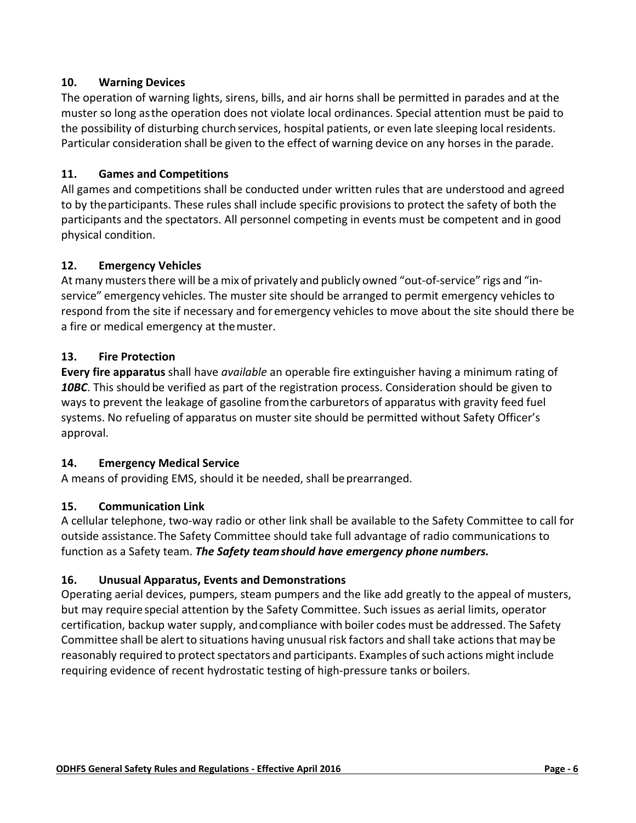# **10. Warning Devices**

The operation of warning lights, sirens, bills, and air horns shall be permitted in parades and at the muster so long asthe operation does not violate local ordinances. Special attention must be paid to the possibility of disturbing church services, hospital patients, or even late sleeping local residents. Particular consideration shall be given to the effect of warning device on any horses in the parade.

# **11. Games and Competitions**

All games and competitions shall be conducted under written rules that are understood and agreed to by theparticipants. These rules shall include specific provisions to protect the safety of both the participants and the spectators. All personnel competing in events must be competent and in good physical condition.

# **12. Emergency Vehicles**

At many musters there will be a mix of privately and publicly owned "out-of-service" rigs and "inservice" emergency vehicles. The muster site should be arranged to permit emergency vehicles to respond from the site if necessary and for emergency vehicles to move about the site should there be a fire or medical emergency at themuster.

# **13. Fire Protection**

**Every fire apparatus** shall have *available* an operable fire extinguisher having a minimum rating of *10BC*. This should be verified as part of the registration process. Consideration should be given to ways to prevent the leakage of gasoline fromthe carburetors of apparatus with gravity feed fuel systems. No refueling of apparatus on muster site should be permitted without Safety Officer's approval.

## **14. Emergency Medical Service**

A means of providing EMS, should it be needed, shall be prearranged.

## **15. Communication Link**

A cellular telephone, two‐way radio or other link shall be available to the Safety Committee to call for outside assistance.The Safety Committee should take full advantage of radio communications to function as a Safety team. *The Safety teamshould have emergency phone numbers.*

## **16. Unusual Apparatus, Events and Demonstrations**

Operating aerial devices, pumpers, steam pumpers and the like add greatly to the appeal of musters, but may require special attention by the Safety Committee. Such issues as aerial limits, operator certification, backup water supply, andcompliance with boiler codes must be addressed. The Safety Committee shall be alert to situations having unusual risk factors and shall take actions that may be reasonably required to protect spectators and participants. Examples of such actions might include requiring evidence of recent hydrostatic testing of high‐pressure tanks or boilers.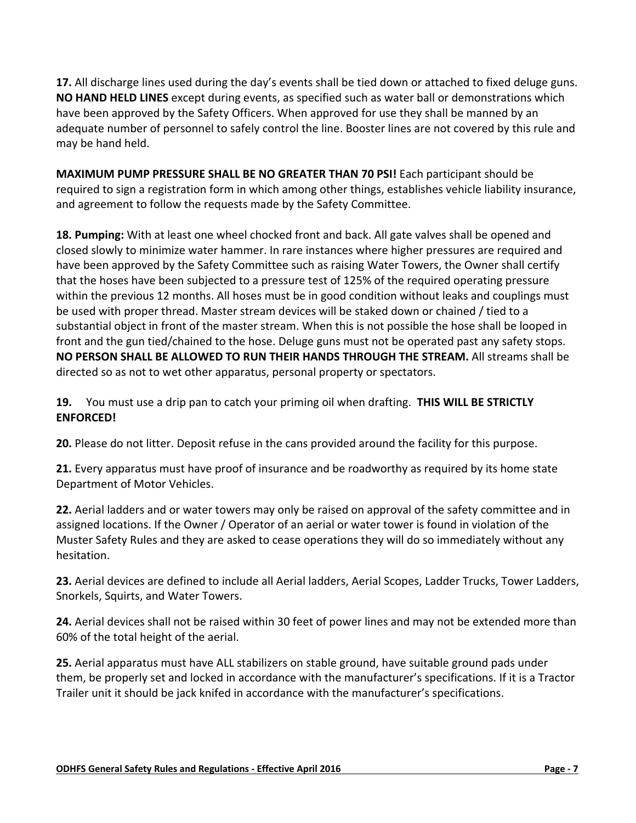**17.** All discharge lines used during the day's events shall be tied down or attached to fixed deluge guns. **NO HAND HELD LINES** except during events, as specified such as water ball or demonstrations which have been approved by the Safety Officers. When approved for use they shall be manned by an adequate number of personnel to safely control the line. Booster lines are not covered by this rule and may be hand held.

**MAXIMUM PUMP PRESSURE SHALL BE NO GREATER THAN 70 PSI!** Each participant should be required to sign a registration form in which among other things, establishes vehicle liability insurance, and agreement to follow the requests made by the Safety Committee.

**18. Pumping:** With at least one wheel chocked front and back. All gate valves shall be opened and closed slowly to minimize water hammer. In rare instances where higher pressures are required and have been approved by the Safety Committee such as raising Water Towers, the Owner shall certify that the hoses have been subjected to a pressure test of 125% of the required operating pressure within the previous 12 months. All hoses must be in good condition without leaks and couplings must be used with proper thread. Master stream devices will be staked down or chained / tied to a substantial object in front of the master stream. When this is not possible the hose shall be looped in front and the gun tied/chained to the hose. Deluge guns must not be operated past any safety stops. **NO PERSON SHALL BE ALLOWED TO RUN THEIR HANDS THROUGH THE STREAM.** All streams shall be directed so as not to wet other apparatus, personal property or spectators.

**19.** You must use a drip pan to catch your priming oil when drafting. **THIS WILL BE STRICTLY ENFORCED!**

**20.** Please do not litter. Deposit refuse in the cans provided around the facility for this purpose.

**21.** Every apparatus must have proof of insurance and be roadworthy as required by its home state Department of Motor Vehicles.

**22.** Aerial ladders and or water towers may only be raised on approval of the safety committee and in assigned locations. If the Owner / Operator of an aerial or water tower is found in violation of the Muster Safety Rules and they are asked to cease operations they will do so immediately without any hesitation.

**23.** Aerial devices are defined to include all Aerial ladders, Aerial Scopes, Ladder Trucks, Tower Ladders, Snorkels, Squirts, and Water Towers.

**24.** Aerial devices shall not be raised within 30 feet of power lines and may not be extended more than 60% of the total height of the aerial.

**25.** Aerial apparatus must have ALL stabilizers on stable ground, have suitable ground pads under them, be properly set and locked in accordance with the manufacturer's specifications. If it is a Tractor Trailer unit it should be jack knifed in accordance with the manufacturer's specifications.